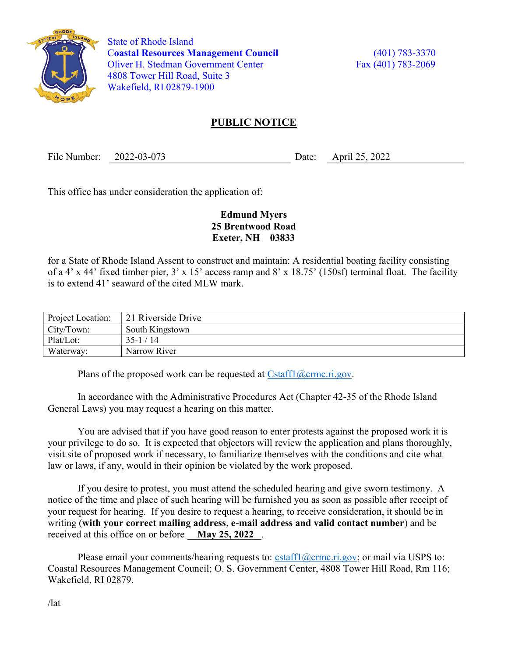

 State of Rhode Island Coastal Resources Management Council (401) 783-3370 Oliver H. Stedman Government Center Fax (401) 783-2069 4808 Tower Hill Road, Suite 3 Wakefield, RI 02879-1900

## PUBLIC NOTICE

File Number: 2022-03-073 Date: April 25, 2022

This office has under consideration the application of:

## Edmund Myers 25 Brentwood Road Exeter, NH 03833

for a State of Rhode Island Assent to construct and maintain: A residential boating facility consisting of a 4' x 44' fixed timber pier, 3' x 15' access ramp and 8' x 18.75' (150sf) terminal float. The facility is to extend 41' seaward of the cited MLW mark.

| Project Location: | 21 Riverside Drive |
|-------------------|--------------------|
| City/Town:        | South Kingstown    |
| Plat/Lot:         | $35-1/14$          |
| Waterway:         | Narrow River       |

Plans of the proposed work can be requested at  $Cstat1(\omega \text{crmc.ri.gov.})$ 

In accordance with the Administrative Procedures Act (Chapter 42-35 of the Rhode Island General Laws) you may request a hearing on this matter.

You are advised that if you have good reason to enter protests against the proposed work it is your privilege to do so. It is expected that objectors will review the application and plans thoroughly, visit site of proposed work if necessary, to familiarize themselves with the conditions and cite what law or laws, if any, would in their opinion be violated by the work proposed.

If you desire to protest, you must attend the scheduled hearing and give sworn testimony. A notice of the time and place of such hearing will be furnished you as soon as possible after receipt of your request for hearing. If you desire to request a hearing, to receive consideration, it should be in writing (with your correct mailing address, e-mail address and valid contact number) and be received at this office on or before May 25, 2022.

Please email your comments/hearing requests to: cstaff1@crmc.ri.gov; or mail via USPS to: Coastal Resources Management Council; O. S. Government Center, 4808 Tower Hill Road, Rm 116; Wakefield, RI 02879.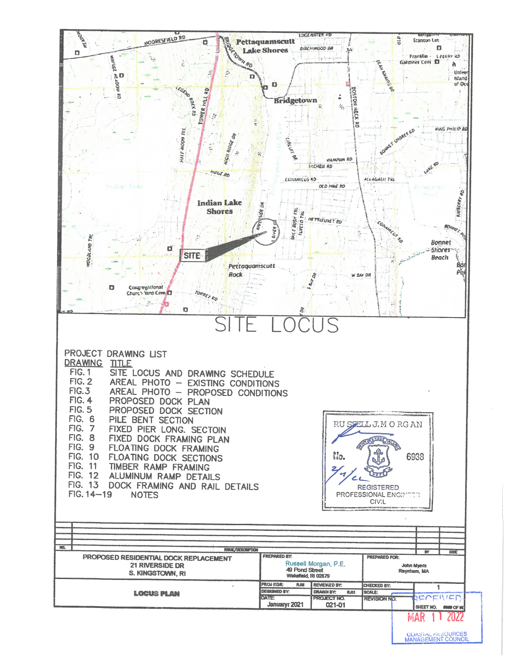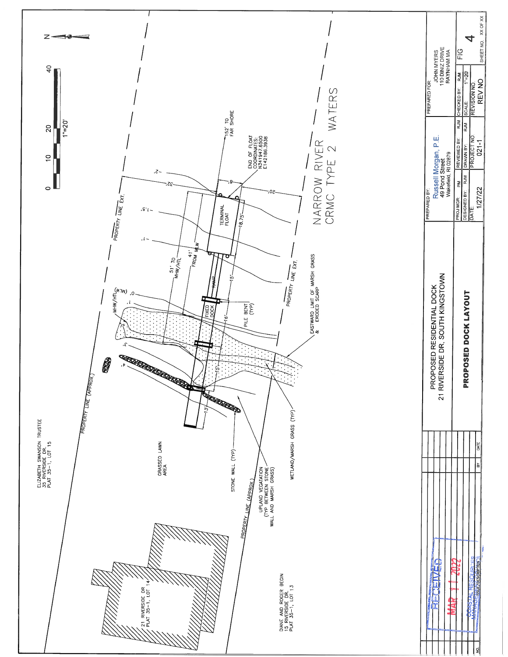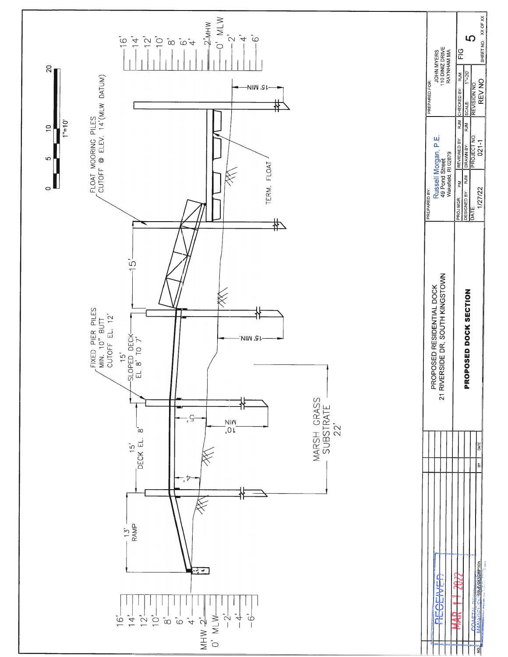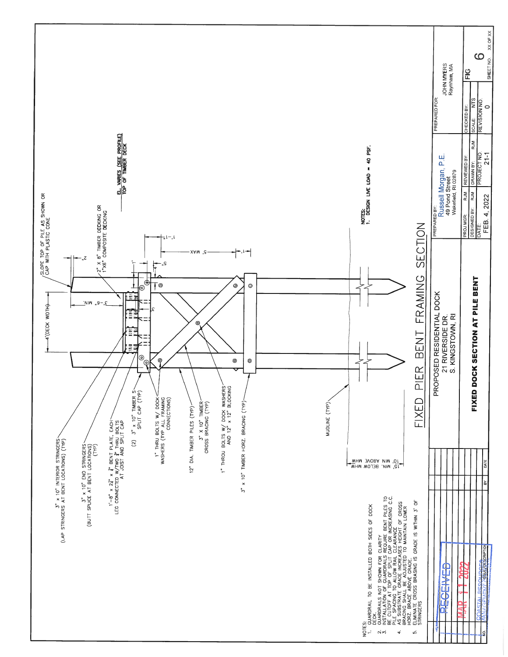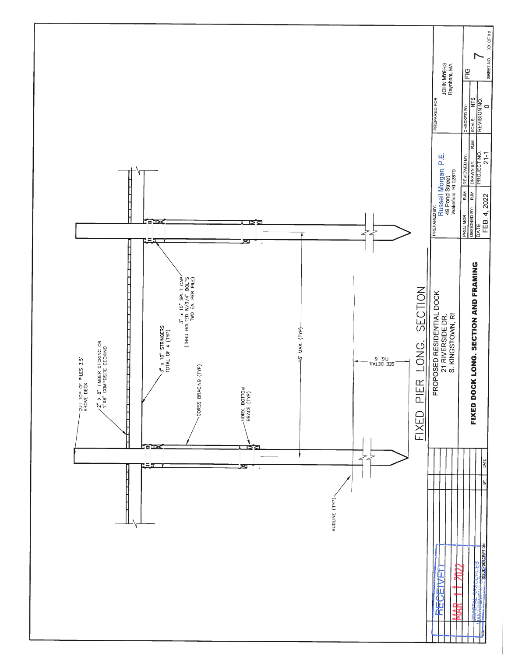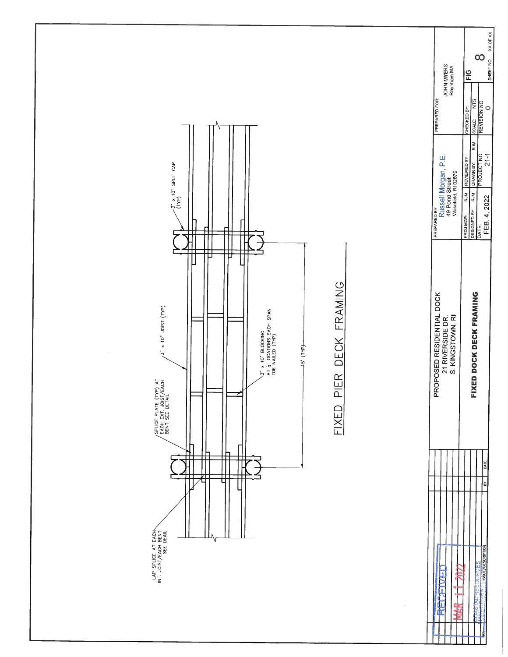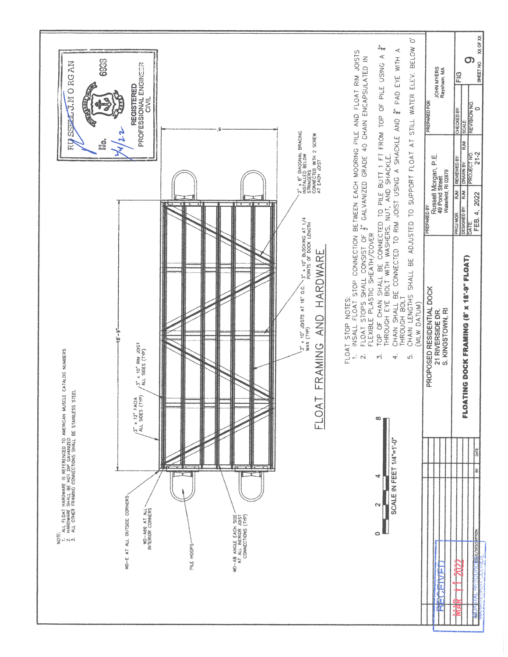